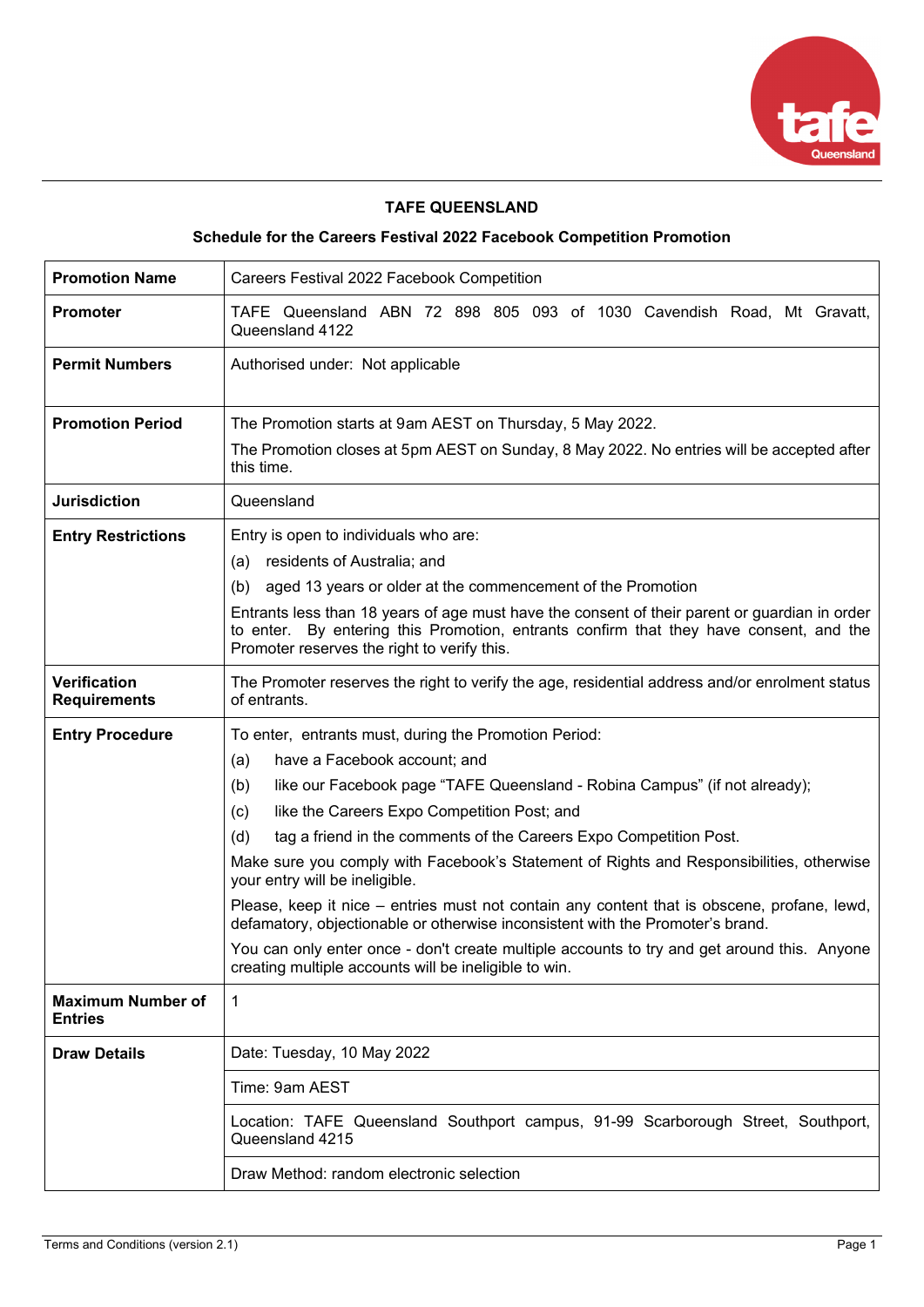

# **TAFE QUEENSLAND**

# **Schedule for the Careers Festival 2022 Facebook Competition Promotion**

| <b>Promotion Name</b>                      | Careers Festival 2022 Facebook Competition                                                                                                                                                                                                                                                                                                                                                                                                                                                                                                                                                                                                                                                                                                                                                  |  |  |  |
|--------------------------------------------|---------------------------------------------------------------------------------------------------------------------------------------------------------------------------------------------------------------------------------------------------------------------------------------------------------------------------------------------------------------------------------------------------------------------------------------------------------------------------------------------------------------------------------------------------------------------------------------------------------------------------------------------------------------------------------------------------------------------------------------------------------------------------------------------|--|--|--|
| <b>Promoter</b>                            | TAFE Queensland ABN 72 898 805 093 of 1030 Cavendish Road, Mt Gravatt,<br>Queensland 4122                                                                                                                                                                                                                                                                                                                                                                                                                                                                                                                                                                                                                                                                                                   |  |  |  |
| <b>Permit Numbers</b>                      | Authorised under: Not applicable                                                                                                                                                                                                                                                                                                                                                                                                                                                                                                                                                                                                                                                                                                                                                            |  |  |  |
| <b>Promotion Period</b>                    | The Promotion starts at 9am AEST on Thursday, 5 May 2022.<br>The Promotion closes at 5pm AEST on Sunday, 8 May 2022. No entries will be accepted after<br>this time.                                                                                                                                                                                                                                                                                                                                                                                                                                                                                                                                                                                                                        |  |  |  |
| <b>Jurisdiction</b>                        | Queensland                                                                                                                                                                                                                                                                                                                                                                                                                                                                                                                                                                                                                                                                                                                                                                                  |  |  |  |
| <b>Entry Restrictions</b>                  | Entry is open to individuals who are:<br>(a) residents of Australia; and<br>(b) aged 13 years or older at the commencement of the Promotion<br>Entrants less than 18 years of age must have the consent of their parent or guardian in order<br>to enter. By entering this Promotion, entrants confirm that they have consent, and the<br>Promoter reserves the right to verify this.                                                                                                                                                                                                                                                                                                                                                                                                       |  |  |  |
| <b>Verification</b><br><b>Requirements</b> | The Promoter reserves the right to verify the age, residential address and/or enrolment status<br>of entrants.                                                                                                                                                                                                                                                                                                                                                                                                                                                                                                                                                                                                                                                                              |  |  |  |
| <b>Entry Procedure</b>                     | To enter, entrants must, during the Promotion Period:<br>have a Facebook account; and<br>(a)<br>like our Facebook page "TAFE Queensland - Robina Campus" (if not already);<br>(b)<br>like the Careers Expo Competition Post; and<br>(c)<br>tag a friend in the comments of the Careers Expo Competition Post.<br>(d)<br>Make sure you comply with Facebook's Statement of Rights and Responsibilities, otherwise<br>your entry will be ineligible.<br>Please, keep it nice – entries must not contain any content that is obscene, profane, lewd,<br>defamatory, objectionable or otherwise inconsistent with the Promoter's brand.<br>You can only enter once - don't create multiple accounts to try and get around this. Anyone<br>creating multiple accounts will be ineligible to win. |  |  |  |
| <b>Maximum Number of</b><br><b>Entries</b> | 1                                                                                                                                                                                                                                                                                                                                                                                                                                                                                                                                                                                                                                                                                                                                                                                           |  |  |  |
| <b>Draw Details</b>                        | Date: Tuesday, 10 May 2022<br>Time: 9am AEST<br>Location: TAFE Queensland Southport campus, 91-99 Scarborough Street, Southport,<br>Queensland 4215<br>Draw Method: random electronic selection                                                                                                                                                                                                                                                                                                                                                                                                                                                                                                                                                                                             |  |  |  |
|                                            |                                                                                                                                                                                                                                                                                                                                                                                                                                                                                                                                                                                                                                                                                                                                                                                             |  |  |  |
|                                            |                                                                                                                                                                                                                                                                                                                                                                                                                                                                                                                                                                                                                                                                                                                                                                                             |  |  |  |
|                                            |                                                                                                                                                                                                                                                                                                                                                                                                                                                                                                                                                                                                                                                                                                                                                                                             |  |  |  |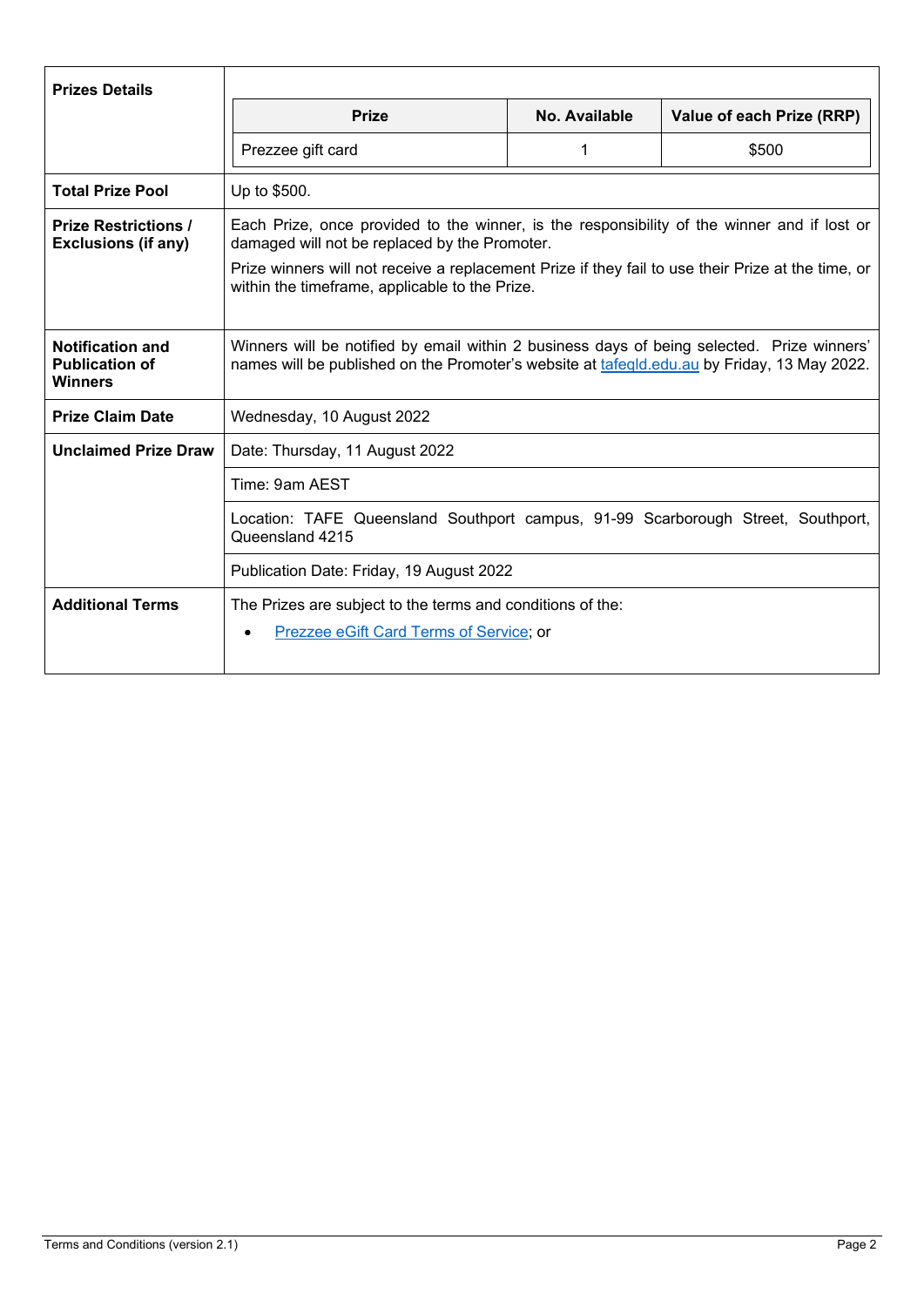| <b>Prizes Details</b>                                              |                                                                                                                                                                                                                                                                                                      |               |                           |  |
|--------------------------------------------------------------------|------------------------------------------------------------------------------------------------------------------------------------------------------------------------------------------------------------------------------------------------------------------------------------------------------|---------------|---------------------------|--|
|                                                                    | <b>Prize</b>                                                                                                                                                                                                                                                                                         | No. Available | Value of each Prize (RRP) |  |
|                                                                    | Prezzee gift card                                                                                                                                                                                                                                                                                    | 1             | \$500                     |  |
| <b>Total Prize Pool</b>                                            | Up to \$500.                                                                                                                                                                                                                                                                                         |               |                           |  |
| <b>Prize Restrictions /</b><br><b>Exclusions (if any)</b>          | Each Prize, once provided to the winner, is the responsibility of the winner and if lost or<br>damaged will not be replaced by the Promoter.<br>Prize winners will not receive a replacement Prize if they fail to use their Prize at the time, or<br>within the timeframe, applicable to the Prize. |               |                           |  |
|                                                                    |                                                                                                                                                                                                                                                                                                      |               |                           |  |
| <b>Notification and</b><br><b>Publication of</b><br><b>Winners</b> | Winners will be notified by email within 2 business days of being selected. Prize winners'<br>names will be published on the Promoter's website at tafegld.edu.au by Friday, 13 May 2022.                                                                                                            |               |                           |  |
| <b>Prize Claim Date</b>                                            | Wednesday, 10 August 2022                                                                                                                                                                                                                                                                            |               |                           |  |
| <b>Unclaimed Prize Draw</b>                                        | Date: Thursday, 11 August 2022                                                                                                                                                                                                                                                                       |               |                           |  |
|                                                                    | Time: 9am AEST                                                                                                                                                                                                                                                                                       |               |                           |  |
|                                                                    | Location: TAFE Queensland Southport campus, 91-99 Scarborough Street, Southport,<br>Queensland 4215                                                                                                                                                                                                  |               |                           |  |
|                                                                    | Publication Date: Friday, 19 August 2022                                                                                                                                                                                                                                                             |               |                           |  |
| <b>Additional Terms</b>                                            | The Prizes are subject to the terms and conditions of the:<br>Prezzee eGift Card Terms of Service; or                                                                                                                                                                                                |               |                           |  |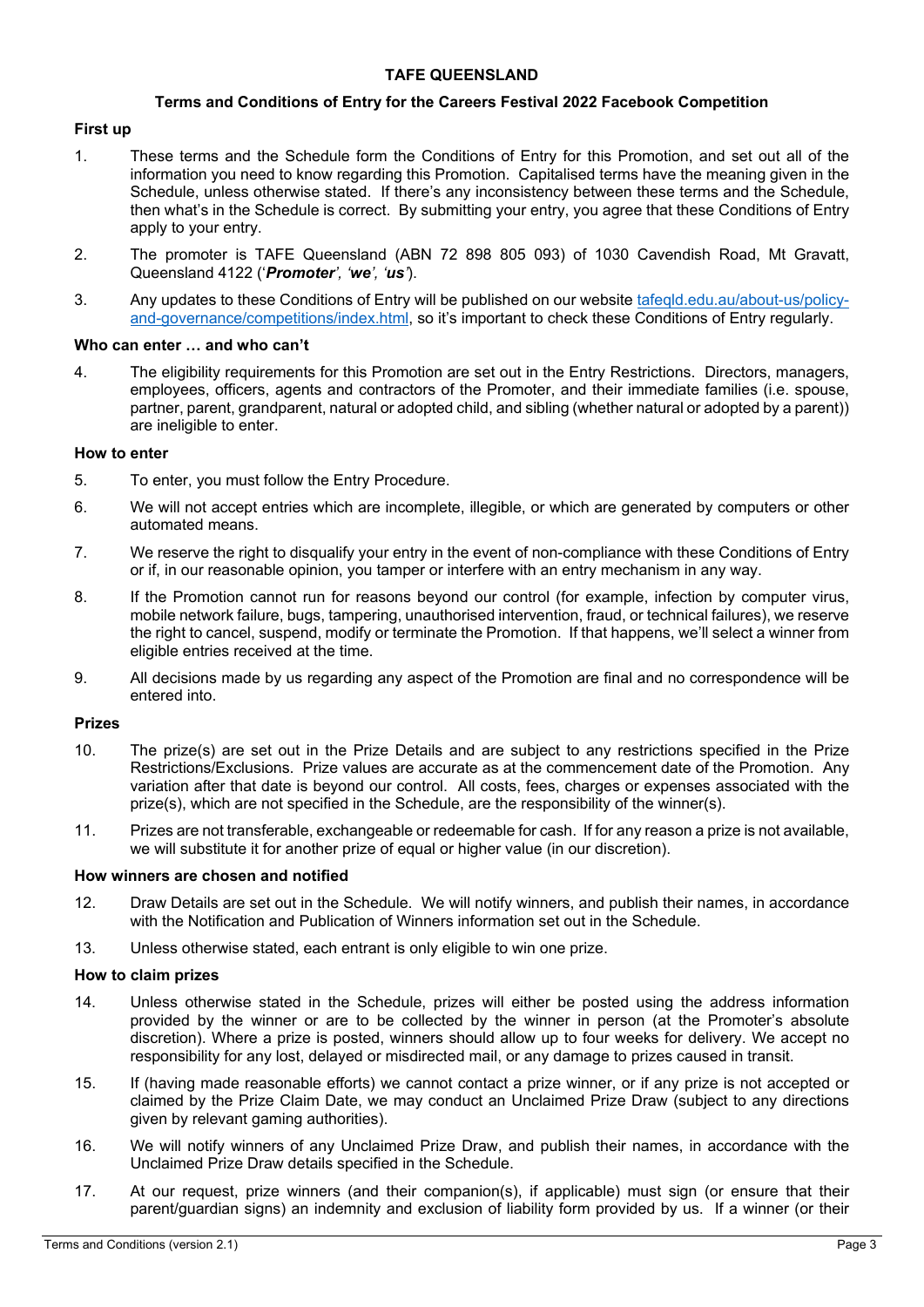## **TAFE QUEENSLAND**

#### **Terms and Conditions of Entry for the Careers Festival 2022 Facebook Competition**

## **First up**

- 1. These terms and the Schedule form the Conditions of Entry for this Promotion, and set out all of the information you need to know regarding this Promotion. Capitalised terms have the meaning given in the Schedule, unless otherwise stated. If there's any inconsistency between these terms and the Schedule, then what's in the Schedule is correct. By submitting your entry, you agree that these Conditions of Entry apply to your entry.
- 2. The promoter is TAFE Queensland (ABN 72 898 805 093) of 1030 Cavendish Road, Mt Gravatt, Queensland 4122 ('*Promoter', 'we', 'us'*).
- 3. Any updates to these Conditions of Entry will be published on our website tafeqld.edu.au/about-us/policyand-governance/competitions/index.html, so it's important to check these Conditions of Entry regularly.

#### **Who can enter … and who can't**

4. The eligibility requirements for this Promotion are set out in the Entry Restrictions. Directors, managers, employees, officers, agents and contractors of the Promoter, and their immediate families (i.e. spouse, partner, parent, grandparent, natural or adopted child, and sibling (whether natural or adopted by a parent)) are ineligible to enter.

#### **How to enter**

- 5. To enter, you must follow the Entry Procedure.
- 6. We will not accept entries which are incomplete, illegible, or which are generated by computers or other automated means.
- 7. We reserve the right to disqualify your entry in the event of non-compliance with these Conditions of Entry or if, in our reasonable opinion, you tamper or interfere with an entry mechanism in any way.
- 8. If the Promotion cannot run for reasons beyond our control (for example, infection by computer virus, mobile network failure, bugs, tampering, unauthorised intervention, fraud, or technical failures), we reserve the right to cancel, suspend, modify or terminate the Promotion. If that happens, we'll select a winner from eligible entries received at the time.
- 9. All decisions made by us regarding any aspect of the Promotion are final and no correspondence will be entered into.

### **Prizes**

- 10. The prize(s) are set out in the Prize Details and are subject to any restrictions specified in the Prize Restrictions/Exclusions. Prize values are accurate as at the commencement date of the Promotion. Any variation after that date is beyond our control. All costs, fees, charges or expenses associated with the prize(s), which are not specified in the Schedule, are the responsibility of the winner(s).
- 11. Prizes are not transferable, exchangeable or redeemable for cash. If for any reason a prize is not available, we will substitute it for another prize of equal or higher value (in our discretion).

#### **How winners are chosen and notified**

- 12. Draw Details are set out in the Schedule. We will notify winners, and publish their names, in accordance with the Notification and Publication of Winners information set out in the Schedule.
- 13. Unless otherwise stated, each entrant is only eligible to win one prize.

## **How to claim prizes**

- 14. Unless otherwise stated in the Schedule, prizes will either be posted using the address information provided by the winner or are to be collected by the winner in person (at the Promoter's absolute discretion). Where a prize is posted, winners should allow up to four weeks for delivery. We accept no responsibility for any lost, delayed or misdirected mail, or any damage to prizes caused in transit.
- 15. If (having made reasonable efforts) we cannot contact a prize winner, or if any prize is not accepted or claimed by the Prize Claim Date, we may conduct an Unclaimed Prize Draw (subject to any directions given by relevant gaming authorities).
- 16. We will notify winners of any Unclaimed Prize Draw, and publish their names, in accordance with the Unclaimed Prize Draw details specified in the Schedule.
- 17. At our request, prize winners (and their companion(s), if applicable) must sign (or ensure that their parent/guardian signs) an indemnity and exclusion of liability form provided by us. If a winner (or their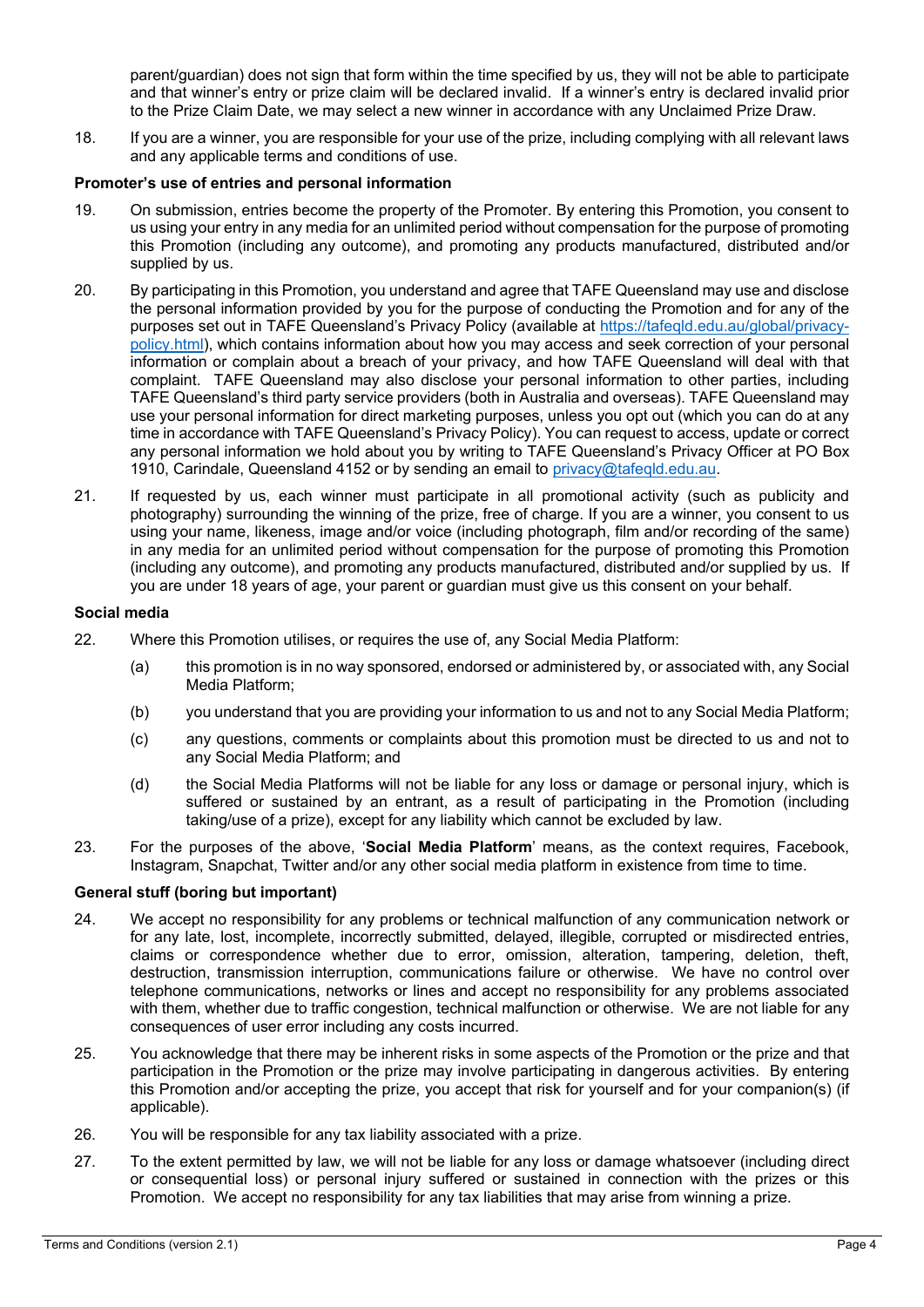parent/guardian) does not sign that form within the time specified by us, they will not be able to participate and that winner's entry or prize claim will be declared invalid. If a winner's entry is declared invalid prior to the Prize Claim Date, we may select a new winner in accordance with any Unclaimed Prize Draw.

18. If you are a winner, you are responsible for your use of the prize, including complying with all relevant laws and any applicable terms and conditions of use.

## **Promoter's use of entries and personal information**

- 19. On submission, entries become the property of the Promoter. By entering this Promotion, you consent to us using your entry in any media for an unlimited period without compensation for the purpose of promoting this Promotion (including any outcome), and promoting any products manufactured, distributed and/or supplied by us.
- 20. By participating in this Promotion, you understand and agree that TAFE Queensland may use and disclose the personal information provided by you for the purpose of conducting the Promotion and for any of the purposes set out in TAFE Queensland's Privacy Policy (available at https://tafeqld.edu.au/global/privacypolicy.html), which contains information about how you may access and seek correction of your personal information or complain about a breach of your privacy, and how TAFE Queensland will deal with that complaint. TAFE Queensland may also disclose your personal information to other parties, including TAFE Queensland's third party service providers (both in Australia and overseas). TAFE Queensland may use your personal information for direct marketing purposes, unless you opt out (which you can do at any time in accordance with TAFE Queensland's Privacy Policy). You can request to access, update or correct any personal information we hold about you by writing to TAFE Queensland's Privacy Officer at PO Box 1910, Carindale, Queensland 4152 or by sending an email to privacy@tafeqld.edu.au.
- 21. If requested by us, each winner must participate in all promotional activity (such as publicity and photography) surrounding the winning of the prize, free of charge. If you are a winner, you consent to us using your name, likeness, image and/or voice (including photograph, film and/or recording of the same) in any media for an unlimited period without compensation for the purpose of promoting this Promotion (including any outcome), and promoting any products manufactured, distributed and/or supplied by us. If you are under 18 years of age, your parent or guardian must give us this consent on your behalf.

## **Social media**

- 22. Where this Promotion utilises, or requires the use of, any Social Media Platform:
	- (a) this promotion is in no way sponsored, endorsed or administered by, or associated with, any Social Media Platform;
	- (b) you understand that you are providing your information to us and not to any Social Media Platform;
	- (c) any questions, comments or complaints about this promotion must be directed to us and not to any Social Media Platform; and
	- (d) the Social Media Platforms will not be liable for any loss or damage or personal injury, which is suffered or sustained by an entrant, as a result of participating in the Promotion (including taking/use of a prize), except for any liability which cannot be excluded by law.
- 23. For the purposes of the above, '**Social Media Platform**' means, as the context requires, Facebook, Instagram, Snapchat, Twitter and/or any other social media platform in existence from time to time.

# **General stuff (boring but important)**

- 24. We accept no responsibility for any problems or technical malfunction of any communication network or for any late, lost, incomplete, incorrectly submitted, delayed, illegible, corrupted or misdirected entries, claims or correspondence whether due to error, omission, alteration, tampering, deletion, theft, destruction, transmission interruption, communications failure or otherwise. We have no control over telephone communications, networks or lines and accept no responsibility for any problems associated with them, whether due to traffic congestion, technical malfunction or otherwise. We are not liable for any consequences of user error including any costs incurred.
- 25. You acknowledge that there may be inherent risks in some aspects of the Promotion or the prize and that participation in the Promotion or the prize may involve participating in dangerous activities. By entering this Promotion and/or accepting the prize, you accept that risk for yourself and for your companion(s) (if applicable).
- 26. You will be responsible for any tax liability associated with a prize.
- 27. To the extent permitted by law, we will not be liable for any loss or damage whatsoever (including direct or consequential loss) or personal injury suffered or sustained in connection with the prizes or this Promotion. We accept no responsibility for any tax liabilities that may arise from winning a prize.